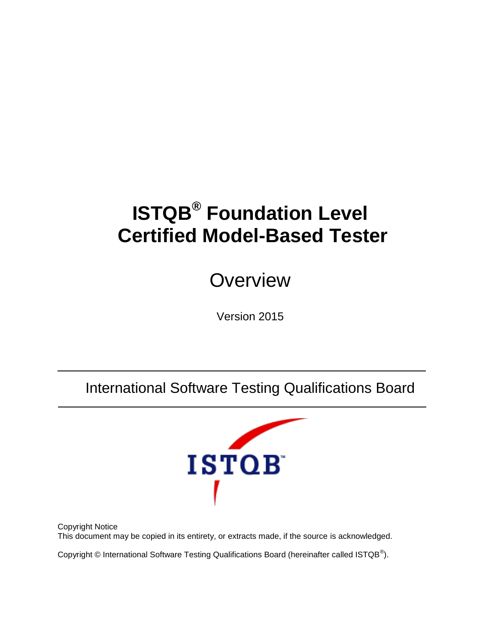# **ISTQB® Foundation Level Certified Model-Based Tester**

# **Overview**

Version 2015

International Software Testing Qualifications Board



Copyright Notice This document may be copied in its entirety, or extracts made, if the source is acknowledged.

Copyright © International Software Testing Qualifications Board (hereinafter called ISTQB $^{\circledast}$ ).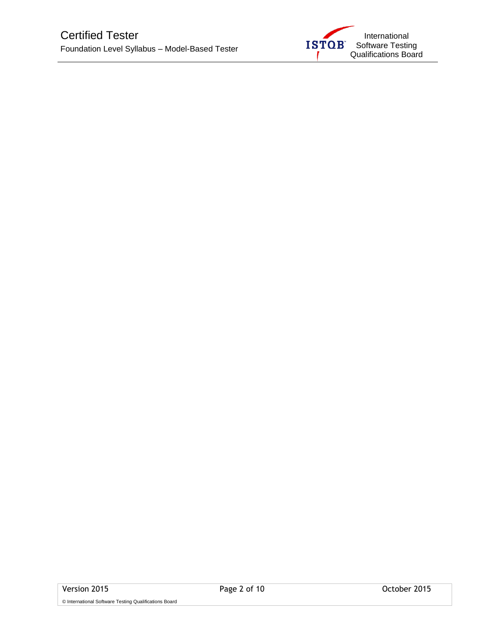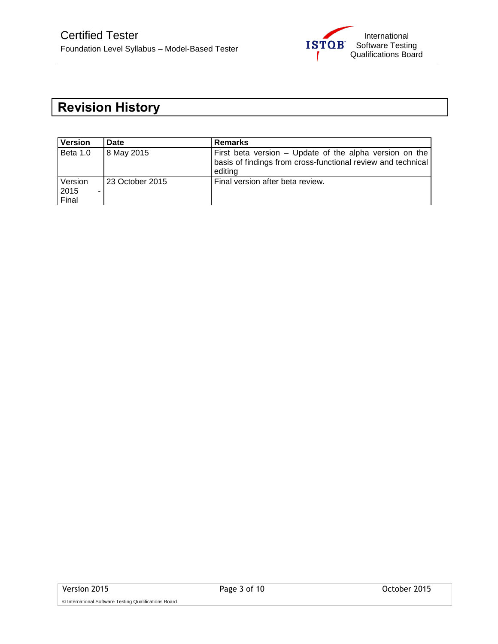

# <span id="page-2-0"></span>**Revision History**

| <b>Version</b>                | Date            | <b>Remarks</b>                                                                                                                     |
|-------------------------------|-----------------|------------------------------------------------------------------------------------------------------------------------------------|
| Beta 1.0                      | 8 May 2015      | First beta version – Update of the alpha version on the<br>basis of findings from cross-functional review and technical<br>editina |
| Version<br>2015<br>-<br>Final | 23 October 2015 | Final version after beta review.                                                                                                   |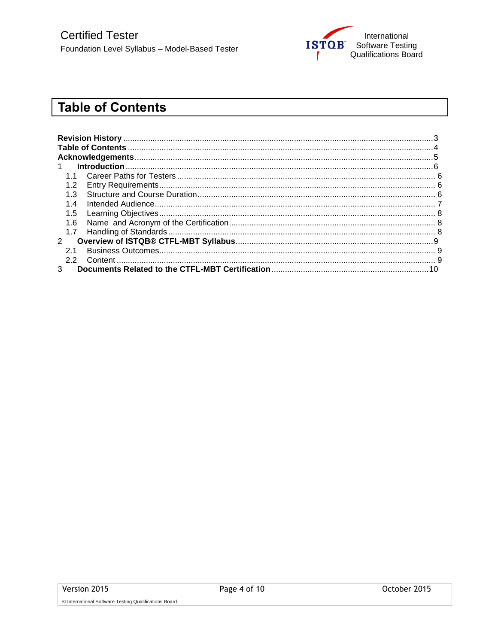

# <span id="page-3-0"></span>**Table of Contents**

| 1           |  |  |
|-------------|--|--|
|             |  |  |
| 1.2         |  |  |
| 1.3         |  |  |
| 1.4         |  |  |
| 1.5         |  |  |
| 1.6         |  |  |
| 1.7         |  |  |
| $2^{\circ}$ |  |  |
| 21          |  |  |
| 22          |  |  |
| 3           |  |  |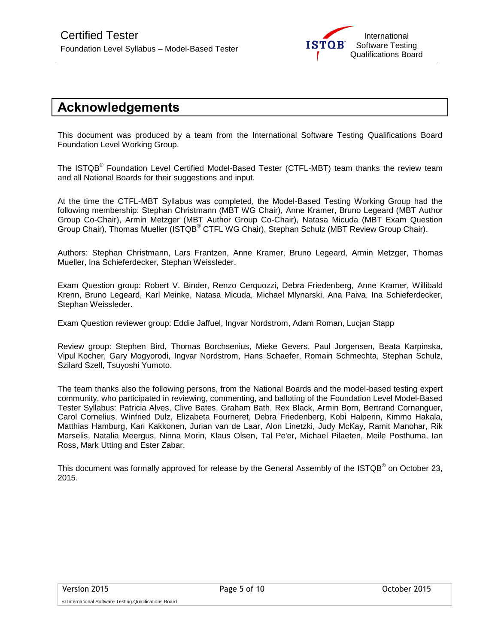

## <span id="page-4-0"></span>**Acknowledgements**

This document was produced by a team from the International Software Testing Qualifications Board Foundation Level Working Group.

The ISTQB<sup>®</sup> Foundation Level Certified Model-Based Tester (CTFL-MBT) team thanks the review team and all National Boards for their suggestions and input.

At the time the CTFL-MBT Syllabus was completed, the Model-Based Testing Working Group had the following membership: Stephan Christmann (MBT WG Chair), Anne Kramer, Bruno Legeard (MBT Author Group Co-Chair), Armin Metzger (MBT Author Group Co-Chair), Natasa Micuda (MBT Exam Question Group Chair), Thomas Mueller (ISTQB® CTFL WG Chair), Stephan Schulz (MBT Review Group Chair).

Authors: Stephan Christmann, Lars Frantzen, Anne Kramer, Bruno Legeard, Armin Metzger, Thomas Mueller, Ina Schieferdecker, Stephan Weissleder.

Exam Question group: Robert V. Binder, Renzo Cerquozzi, Debra Friedenberg, Anne Kramer, Willibald Krenn, Bruno Legeard, Karl Meinke, Natasa Micuda, Michael Mlynarski, Ana Paiva, Ina Schieferdecker, Stephan Weissleder.

Exam Question reviewer group: Eddie Jaffuel, Ingvar Nordstrom, Adam Roman, Lucjan Stapp

Review group: Stephen Bird, Thomas Borchsenius, Mieke Gevers, Paul Jorgensen, Beata Karpinska, Vipul Kocher, Gary Mogyorodi, Ingvar Nordstrom, Hans Schaefer, Romain Schmechta, Stephan Schulz, Szilard Szell, Tsuyoshi Yumoto.

The team thanks also the following persons, from the National Boards and the model-based testing expert community, who participated in reviewing, commenting, and balloting of the Foundation Level Model-Based Tester Syllabus: Patricia Alves, Clive Bates, Graham Bath, Rex Black, Armin Born, Bertrand Cornanguer, Carol Cornelius, Winfried Dulz, Elizabeta Fourneret, Debra Friedenberg, Kobi Halperin, Kimmo Hakala, Matthias Hamburg, Kari Kakkonen, Jurian van de Laar, Alon Linetzki, Judy McKay, Ramit Manohar, Rik Marselis, Natalia Meergus, Ninna Morin, Klaus Olsen, Tal Pe'er, Michael Pilaeten, Meile Posthuma, Ian Ross, Mark Utting and Ester Zabar.

This document was formally approved for release by the General Assembly of the ISTQB**®** on October 23, 2015.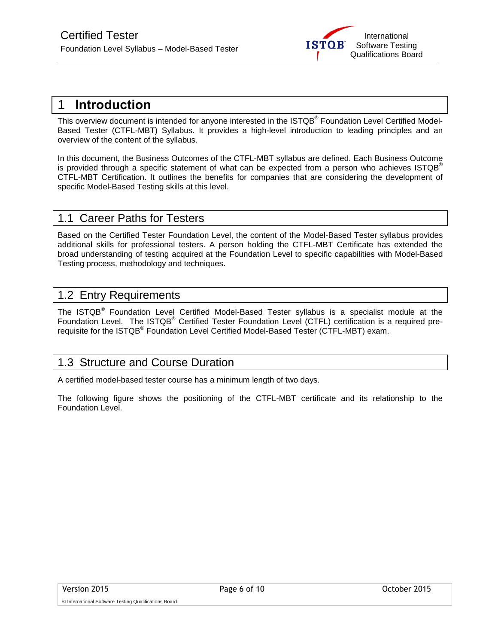

## <span id="page-5-0"></span>1 **Introduction**

This overview document is intended for anyone interested in the ISTQB® Foundation Level Certified Model-Based Tester (CTFL-MBT) Syllabus. It provides a high-level introduction to leading principles and an overview of the content of the syllabus.

In this document, the Business Outcomes of the CTFL-MBT syllabus are defined. Each Business Outcome is provided through a specific statement of what can be expected from a person who achieves  $ISTQB^{\circledcirc}$ CTFL-MBT Certification. It outlines the benefits for companies that are considering the development of specific Model-Based Testing skills at this level.

### <span id="page-5-1"></span>1.1 Career Paths for Testers

Based on the Certified Tester Foundation Level, the content of the Model-Based Tester syllabus provides additional skills for professional testers. A person holding the CTFL-MBT Certificate has extended the broad understanding of testing acquired at the Foundation Level to specific capabilities with Model-Based Testing process, methodology and techniques.

### <span id="page-5-2"></span>1.2 Entry Requirements

The ISTQB<sup>®</sup> Foundation Level Certified Model-Based Tester syllabus is a specialist module at the Foundation Level. The ISTQB® Certified Tester Foundation Level (CTFL) certification is a required prerequisite for the ISTQB<sup>®</sup> Foundation Level Certified Model-Based Tester (CTFL-MBT) exam.

## <span id="page-5-3"></span>1.3 Structure and Course Duration

A certified model-based tester course has a minimum length of two days.

The following figure shows the positioning of the CTFL-MBT certificate and its relationship to the Foundation Level.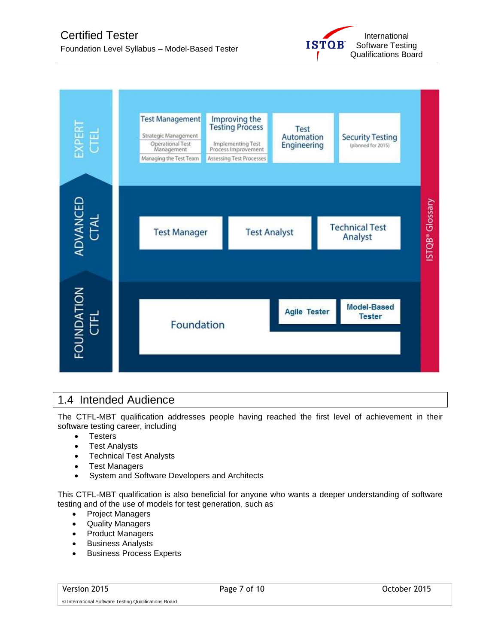



## <span id="page-6-0"></span>1.4 Intended Audience

The CTFL-MBT qualification addresses people having reached the first level of achievement in their software testing career, including

- Testers
- Test Analysts
- Technical Test Analysts
- Test Managers
- System and Software Developers and Architects

This CTFL-MBT qualification is also beneficial for anyone who wants a deeper understanding of software testing and of the use of models for test generation, such as

- Project Managers
- Quality Managers
- Product Managers
- **•** Business Analysts

© International Software Testing Qualifications Board

**•** Business Process Experts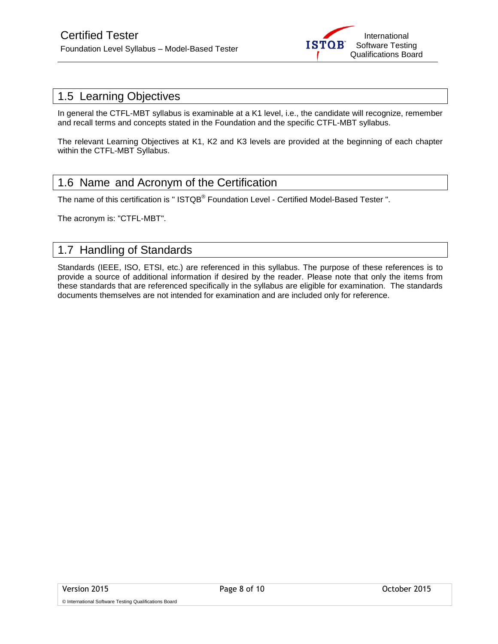

### <span id="page-7-0"></span>1.5 Learning Objectives

In general the CTFL-MBT syllabus is examinable at a K1 level, i.e., the candidate will recognize, remember and recall terms and concepts stated in the Foundation and the specific CTFL-MBT syllabus.

The relevant Learning Objectives at K1, K2 and K3 levels are provided at the beginning of each chapter within the CTFL-MBT Syllabus.

### <span id="page-7-1"></span>1.6 Name and Acronym of the Certification

The name of this certification is " ISTQB<sup>®</sup> Foundation Level - Certified Model-Based Tester ".

The acronym is: "CTFL-MBT".

#### <span id="page-7-2"></span>1.7 Handling of Standards

Standards (IEEE, ISO, ETSI, etc.) are referenced in this syllabus. The purpose of these references is to provide a source of additional information if desired by the reader. Please note that only the items from these standards that are referenced specifically in the syllabus are eligible for examination. The standards documents themselves are not intended for examination and are included only for reference.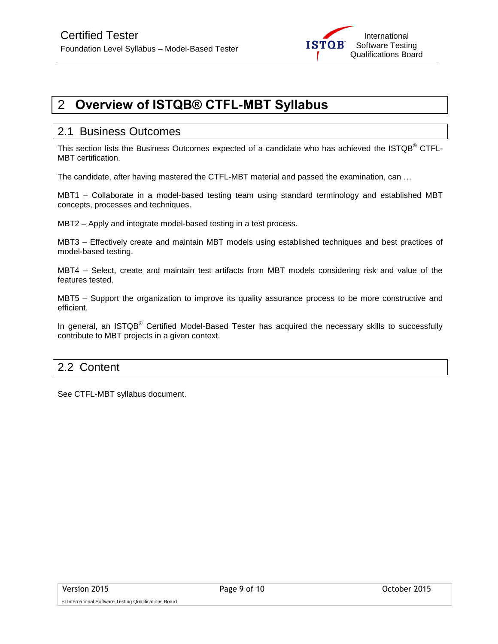

# <span id="page-8-0"></span>2 **Overview of ISTQB® CTFL-MBT Syllabus**

#### <span id="page-8-1"></span>2.1 Business Outcomes

This section lists the Business Outcomes expected of a candidate who has achieved the ISTQB® CTFL-MBT certification.

The candidate, after having mastered the CTFL-MBT material and passed the examination, can …

MBT1 – Collaborate in a model-based testing team using standard terminology and established MBT concepts, processes and techniques.

MBT2 – Apply and integrate model-based testing in a test process.

MBT3 – Effectively create and maintain MBT models using established techniques and best practices of model-based testing.

MBT4 – Select, create and maintain test artifacts from MBT models considering risk and value of the features tested.

MBT5 – Support the organization to improve its quality assurance process to be more constructive and efficient.

In general, an ISTQB<sup>®</sup> Certified Model-Based Tester has acquired the necessary skills to successfully contribute to MBT projects in a given context.

#### <span id="page-8-2"></span>2.2 Content

See CTFL-MBT syllabus document.